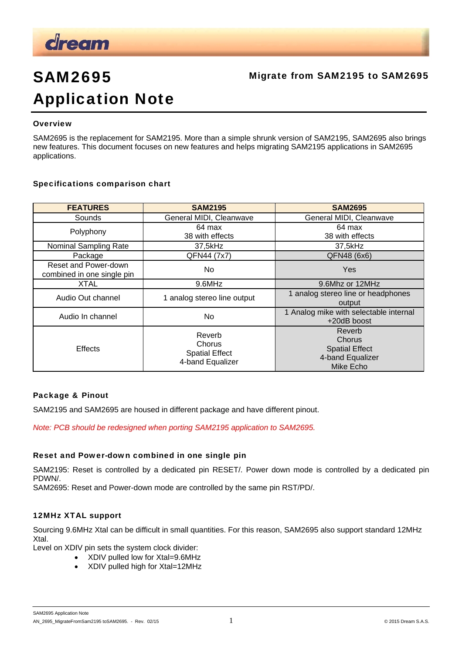

## Migrate from SAM2195 to SAM2695

# SAM2695 Application Note

#### **Overview**

SAM2695 is the replacement for SAM2195. More than a simple shrunk version of SAM2195, SAM2695 also brings new features. This document focuses on new features and helps migrating SAM2195 applications in SAM2695 applications.

#### Specifications comparison chart

| <b>FEATURES</b>                                    | <b>SAM2195</b>                                                       | <b>SAM2695</b>                                                                    |
|----------------------------------------------------|----------------------------------------------------------------------|-----------------------------------------------------------------------------------|
| Sounds                                             | General MIDI, Cleanwave                                              | General MIDI, Cleanwave                                                           |
| Polyphony                                          | 64 max<br>38 with effects                                            | 64 max<br>38 with effects                                                         |
| Nominal Sampling Rate                              | 37,5kHz                                                              | 37,5kHz                                                                           |
| Package                                            | QFN44 (7x7)                                                          | QFN48 (6x6)                                                                       |
| Reset and Power-down<br>combined in one single pin | No.                                                                  | <b>Yes</b>                                                                        |
| <b>XTAL</b>                                        | 9.6MHz                                                               | 9.6Mhz or 12MHz                                                                   |
| Audio Out channel                                  | 1 analog stereo line output                                          | 1 analog stereo line or headphones<br>output                                      |
| Audio In channel                                   | No.                                                                  | 1 Analog mike with selectable internal<br>+20dB boost                             |
| <b>Effects</b>                                     | Reverb<br><b>Chorus</b><br><b>Spatial Effect</b><br>4-band Equalizer | Reverb<br>Chorus<br><b>Spatial Effect</b><br>4-band Equalizer<br><b>Mike Echo</b> |

#### Package & Pinout

SAM2195 and SAM2695 are housed in different package and have different pinout.

*Note: PCB should be redesigned when porting SAM2195 application to SAM2695.* 

### Reset and Power-down combined in one single pin

SAM2195: Reset is controlled by a dedicated pin RESET/. Power down mode is controlled by a dedicated pin PDWN/.

SAM2695: Reset and Power-down mode are controlled by the same pin RST/PD/.

#### 12MHz XTAL support

Sourcing 9.6MHz Xtal can be difficult in small quantities. For this reason, SAM2695 also support standard 12MHz Xtal.

Level on XDIV pin sets the system clock divider:

- XDIV pulled low for Xtal=9.6MHz
- XDIV pulled high for Xtal=12MHz